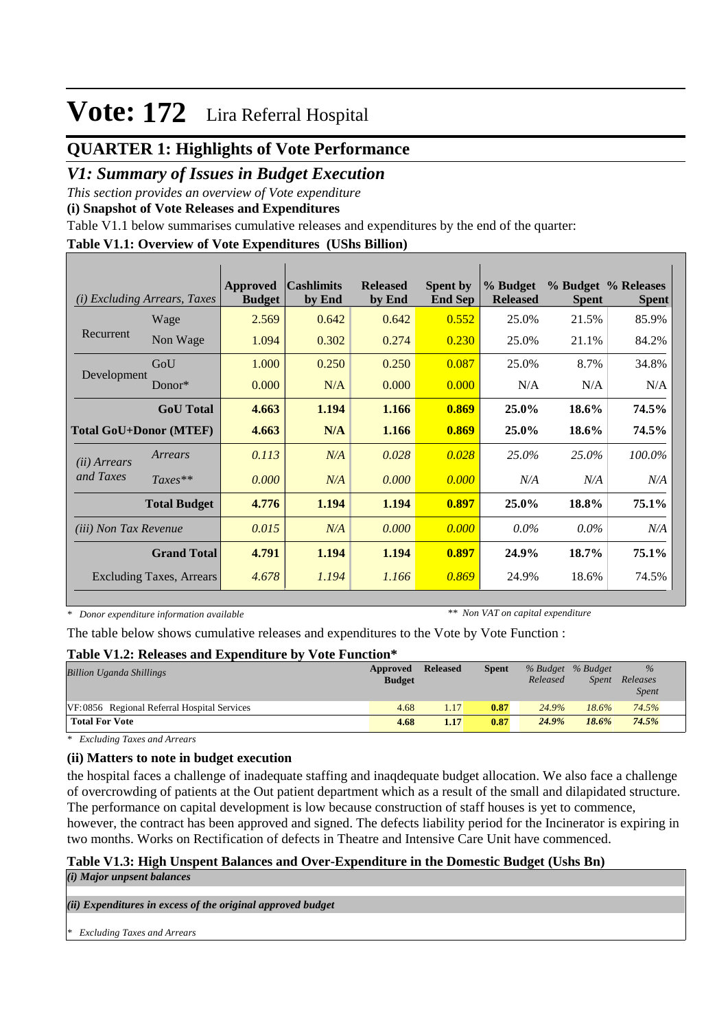## **QUARTER 1: Highlights of Vote Performance**

## *V1: Summary of Issues in Budget Execution*

*This section provides an overview of Vote expenditure* 

**(i) Snapshot of Vote Releases and Expenditures**

Table V1.1 below summarises cumulative releases and expenditures by the end of the quarter:

#### **Table V1.1: Overview of Vote Expenditures (UShs Billion)**

| (i)                          | <i>Excluding Arrears, Taxes</i> | Approved<br><b>Budget</b> | <b>Cashlimits</b><br>by End | <b>Released</b><br>by End | <b>Spent by</b><br><b>End Sep</b> | % Budget<br><b>Released</b> | <b>Spent</b> | % Budget % Releases<br><b>Spent</b> |
|------------------------------|---------------------------------|---------------------------|-----------------------------|---------------------------|-----------------------------------|-----------------------------|--------------|-------------------------------------|
|                              | Wage                            | 2.569                     | 0.642                       | 0.642                     | 0.552                             | 25.0%                       | 21.5%        | 85.9%                               |
| Recurrent                    | Non Wage                        | 1.094                     | 0.302                       | 0.274                     | 0.230                             | 25.0%                       | 21.1%        | 84.2%                               |
|                              | GoU                             | 1.000                     | 0.250                       | 0.250                     | 0.087                             | 25.0%                       | 8.7%         | 34.8%                               |
| Development                  | Donor $*$                       | 0.000                     | N/A                         | 0.000                     | 0.000                             | N/A                         | N/A          | N/A                                 |
|                              | <b>GoU</b> Total                | 4.663                     | 1.194                       | 1.166                     | 0.869                             | 25.0%                       | 18.6%        | 74.5%                               |
|                              | <b>Total GoU+Donor (MTEF)</b>   | 4.663                     | N/A                         | 1.166                     | 0.869                             | 25.0%                       | 18.6%        | 74.5%                               |
| ( <i>ii</i> ) Arrears        | Arrears                         | 0.113                     | N/A                         | 0.028                     | 0.028                             | 25.0%                       | 25.0%        | 100.0%                              |
| and Taxes                    | $Taxes**$                       | 0.000                     | N/A                         | 0.000                     | 0.000                             | N/A                         | N/A          | N/A                                 |
|                              | <b>Total Budget</b>             | 4.776                     | 1.194                       | 1.194                     | 0.897                             | 25.0%                       | 18.8%        | 75.1%                               |
| <i>(iii)</i> Non Tax Revenue |                                 | 0.015                     | N/A                         | 0.000                     | 0.000                             | $0.0\%$                     | $0.0\%$      | N/A                                 |
|                              | <b>Grand Total</b>              | 4.791                     | 1.194                       | 1.194                     | 0.897                             | 24.9%                       | 18.7%        | 75.1%                               |
|                              | <b>Excluding Taxes, Arrears</b> | 4.678                     | 1.194                       | 1.166                     | 0.869                             | 24.9%                       | 18.6%        | 74.5%                               |

*\* Donor expenditure information available*

*\*\* Non VAT on capital expenditure*

The table below shows cumulative releases and expenditures to the Vote by Vote Function :

#### **Table V1.2: Releases and Expenditure by Vote Function\***

| <b>Billion Uganda Shillings</b>             | Approved<br><b>Budget</b> | <b>Released</b> | <b>Spent</b> | Released | % Budget % Budget<br><i>Spent</i> | $\%$<br>Releases<br><i>Spent</i> |  |
|---------------------------------------------|---------------------------|-----------------|--------------|----------|-----------------------------------|----------------------------------|--|
| VF:0856 Regional Referral Hospital Services | 4.68                      | 1.17            | 0.87         | 24.9%    | 18.6%                             | 74.5%                            |  |
| <b>Total For Vote</b>                       | 4.68                      | 1.17            | 0.87         | 24.9%    | 18.6%                             | 74.5%                            |  |

*\* Excluding Taxes and Arrears*

### **(ii) Matters to note in budget execution**

the hospital faces a challenge of inadequate staffing and inaqdequate budget allocation. We also face a challenge of overcrowding of patients at the Out patient department which as a result of the small and dilapidated structure. The performance on capital development is low because construction of staff houses is yet to commence, however, the contract has been approved and signed. The defects liability period for the Incinerator is expiring in two months. Works on Rectification of defects in Theatre and Intensive Care Unit have commenced.

## **Table V1.3: High Unspent Balances and Over-Expenditure in the Domestic Budget (Ushs Bn)**

*(i) Major unpsent balances*

*(ii) Expenditures in excess of the original approved budget*

*\* Excluding Taxes and Arrears*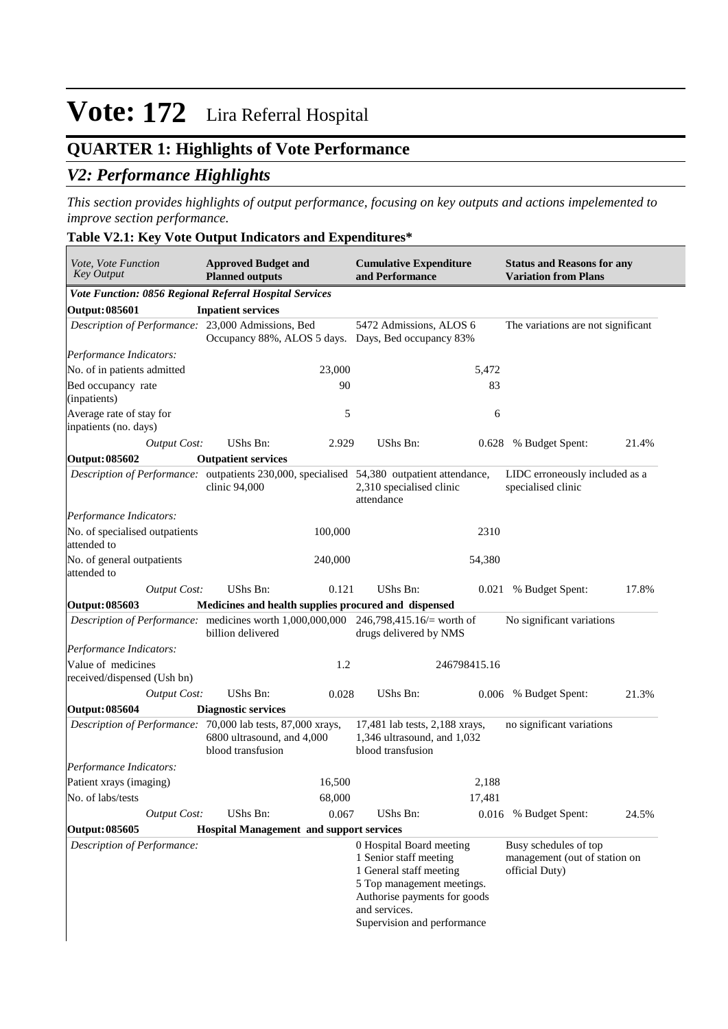## **QUARTER 1: Highlights of Vote Performance**

## *V2: Performance Highlights*

*This section provides highlights of output performance, focusing on key outputs and actions impelemented to improve section performance.*

#### **Table V2.1: Key Vote Output Indicators and Expenditures\***

| Vote, Vote Function<br><b>Key Output</b>                                                   | <b>Approved Budget and</b><br><b>Planned outputs</b> |                                                    | <b>Cumulative Expenditure</b><br>and Performance                                                                                                                                            |              | <b>Status and Reasons for any</b><br><b>Variation from Plans</b>         |       |  |
|--------------------------------------------------------------------------------------------|------------------------------------------------------|----------------------------------------------------|---------------------------------------------------------------------------------------------------------------------------------------------------------------------------------------------|--------------|--------------------------------------------------------------------------|-------|--|
| Vote Function: 0856 Regional Referral Hospital Services                                    |                                                      |                                                    |                                                                                                                                                                                             |              |                                                                          |       |  |
| Output: 085601                                                                             | <b>Inpatient services</b>                            |                                                    |                                                                                                                                                                                             |              |                                                                          |       |  |
| Description of Performance: 23,000 Admissions, Bed                                         | Occupancy 88%, ALOS 5 days.                          | 5472 Admissions, ALOS 6<br>Days, Bed occupancy 83% |                                                                                                                                                                                             |              | The variations are not significant                                       |       |  |
| Performance Indicators:                                                                    |                                                      |                                                    |                                                                                                                                                                                             |              |                                                                          |       |  |
| No. of in patients admitted                                                                |                                                      | 23,000                                             |                                                                                                                                                                                             | 5,472        |                                                                          |       |  |
| Bed occupancy rate<br>(inpatients)                                                         |                                                      | 90                                                 |                                                                                                                                                                                             | 83           |                                                                          |       |  |
| Average rate of stay for<br>inpatients (no. days)                                          |                                                      | 5                                                  |                                                                                                                                                                                             | 6            |                                                                          |       |  |
| <b>Output Cost:</b>                                                                        | <b>UShs Bn:</b>                                      | 2.929                                              | UShs Bn:                                                                                                                                                                                    | 0.628        | % Budget Spent:                                                          | 21.4% |  |
| Output: 085602                                                                             | <b>Outpatient services</b>                           |                                                    |                                                                                                                                                                                             |              |                                                                          |       |  |
| Description of Performance: outpatients 230,000, specialised 54,380 outpatient attendance, | clinic 94,000                                        |                                                    | 2,310 specialised clinic<br>attendance                                                                                                                                                      |              | LIDC erroneously included as a<br>specialised clinic                     |       |  |
| Performance Indicators:                                                                    |                                                      |                                                    |                                                                                                                                                                                             |              |                                                                          |       |  |
| No. of specialised outpatients<br>attended to                                              |                                                      | 100,000                                            |                                                                                                                                                                                             | 2310         |                                                                          |       |  |
| No. of general outpatients<br>attended to                                                  |                                                      | 240,000                                            |                                                                                                                                                                                             | 54,380       |                                                                          |       |  |
| <b>Output Cost:</b>                                                                        | <b>UShs Bn:</b>                                      | 0.121                                              | UShs Bn:                                                                                                                                                                                    | 0.021        | % Budget Spent:                                                          | 17.8% |  |
| Output: 085603                                                                             | Medicines and health supplies procured and dispensed |                                                    |                                                                                                                                                                                             |              |                                                                          |       |  |
| Description of Performance: medicines worth 1,000,000,000                                  | billion delivered                                    |                                                    | 246,798,415.16/ $=$ worth of<br>drugs delivered by NMS                                                                                                                                      |              | No significant variations                                                |       |  |
| Performance Indicators:                                                                    |                                                      |                                                    |                                                                                                                                                                                             |              |                                                                          |       |  |
| Value of medicines<br>received/dispensed (Ush bn)                                          |                                                      | 1.2                                                |                                                                                                                                                                                             | 246798415.16 |                                                                          |       |  |
| <b>Output Cost:</b>                                                                        | UShs Bn:                                             | 0.028                                              | UShs Bn:                                                                                                                                                                                    |              | 0.006 % Budget Spent:                                                    | 21.3% |  |
| Output: 085604                                                                             | <b>Diagnostic services</b>                           |                                                    |                                                                                                                                                                                             |              |                                                                          |       |  |
| Description of Performance: 70,000 lab tests, 87,000 xrays,                                | 6800 ultrasound, and 4,000<br>blood transfusion      |                                                    | 17,481 lab tests, 2,188 xrays,<br>1,346 ultrasound, and 1,032<br>blood transfusion                                                                                                          |              | no significant variations                                                |       |  |
| Performance Indicators:                                                                    |                                                      |                                                    |                                                                                                                                                                                             |              |                                                                          |       |  |
| Patient xrays (imaging)                                                                    |                                                      | 16,500                                             |                                                                                                                                                                                             | 2,188        |                                                                          |       |  |
| No. of labs/tests                                                                          |                                                      | 68,000                                             |                                                                                                                                                                                             | 17,481       |                                                                          |       |  |
| <b>Output Cost:</b>                                                                        | UShs Bn:                                             | 0.067                                              | UShs Bn:                                                                                                                                                                                    |              | 0.016 % Budget Spent:                                                    | 24.5% |  |
| Output: 085605                                                                             | <b>Hospital Management and support services</b>      |                                                    |                                                                                                                                                                                             |              |                                                                          |       |  |
| Description of Performance:                                                                |                                                      |                                                    | 0 Hospital Board meeting<br>1 Senior staff meeting<br>1 General staff meeting<br>5 Top management meetings.<br>Authorise payments for goods<br>and services.<br>Supervision and performance |              | Busy schedules of top<br>management (out of station on<br>official Duty) |       |  |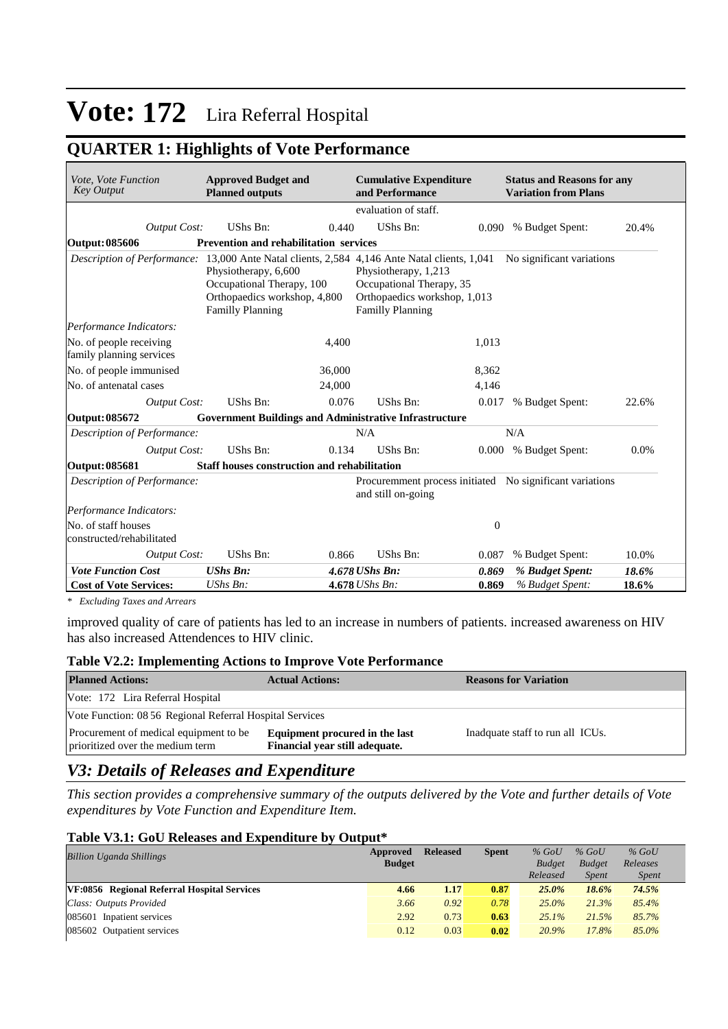## **QUARTER 1: Highlights of Vote Performance**

| Vote, Vote Function<br><b>Key Output</b>            | <b>Approved Budget and</b><br><b>Planned outputs</b>                                                         | <b>Cumulative Expenditure</b><br>and Performance                                                                                                                                                                                      | <b>Status and Reasons for any</b><br><b>Variation from Plans</b> |
|-----------------------------------------------------|--------------------------------------------------------------------------------------------------------------|---------------------------------------------------------------------------------------------------------------------------------------------------------------------------------------------------------------------------------------|------------------------------------------------------------------|
|                                                     |                                                                                                              | evaluation of staff.                                                                                                                                                                                                                  |                                                                  |
| <b>Output Cost:</b>                                 | UShs Bn:<br>0.440                                                                                            | UShs Bn:                                                                                                                                                                                                                              | 0.090 % Budget Spent:<br>20.4%                                   |
| <b>Output: 085606</b>                               | Prevention and rehabilitation services                                                                       |                                                                                                                                                                                                                                       |                                                                  |
|                                                     | Physiotherapy, 6,600<br>Occupational Therapy, 100<br>Orthopaedics workshop, 4,800<br><b>Familly Planning</b> | Description of Performance: 13,000 Ante Natal clients, 2,584 4,146 Ante Natal clients, 1,041 No significant variations<br>Physiotherapy, 1,213<br>Occupational Therapy, 35<br>Orthopaedics workshop, 1,013<br><b>Familly Planning</b> |                                                                  |
| Performance Indicators:                             |                                                                                                              |                                                                                                                                                                                                                                       |                                                                  |
| No. of people receiving<br>family planning services | 4,400                                                                                                        | 1,013                                                                                                                                                                                                                                 |                                                                  |
| No. of people immunised                             | 36,000                                                                                                       | 8,362                                                                                                                                                                                                                                 |                                                                  |
| No. of antenatal cases                              | 24,000                                                                                                       | 4,146                                                                                                                                                                                                                                 |                                                                  |
| <b>Output Cost:</b>                                 | UShs Bn:                                                                                                     | 0.076<br>UShs Bn:                                                                                                                                                                                                                     | 0.017<br>% Budget Spent:<br>22.6%                                |
| Output: 085672                                      | <b>Government Buildings and Administrative Infrastructure</b>                                                |                                                                                                                                                                                                                                       |                                                                  |
| Description of Performance:                         |                                                                                                              | N/A                                                                                                                                                                                                                                   | N/A                                                              |
| <b>Output Cost:</b>                                 | 0.134<br>UShs Bn:                                                                                            | UShs Bn:                                                                                                                                                                                                                              | 0.0%<br>0.000 % Budget Spent:                                    |
| Output: 085681                                      | Staff houses construction and rehabilitation                                                                 |                                                                                                                                                                                                                                       |                                                                  |
| Description of Performance:                         |                                                                                                              | Procuremment process initiated No significant variations<br>and still on-going                                                                                                                                                        |                                                                  |
| Performance Indicators:                             |                                                                                                              |                                                                                                                                                                                                                                       |                                                                  |
| No. of staff houses<br>constructed/rehabilitated    |                                                                                                              |                                                                                                                                                                                                                                       | $\boldsymbol{0}$                                                 |
| <b>Output Cost:</b>                                 | UShs Bn:                                                                                                     | UShs Bn:<br>0.866                                                                                                                                                                                                                     | 10.0%<br>% Budget Spent:<br>0.087                                |
| <b>Vote Function Cost</b>                           | <b>UShs Bn:</b>                                                                                              | 4.678 UShs Bn:                                                                                                                                                                                                                        | 18.6%<br>0.869<br>% Budget Spent:                                |
| <b>Cost of Vote Services:</b>                       | UShs Bn:                                                                                                     | 4.678 UShs Bn:                                                                                                                                                                                                                        | 0.869<br>% Budget Spent:<br>18.6%                                |

*\* Excluding Taxes and Arrears*

improved quality of care of patients has led to an increase in numbers of patients. increased awareness on HIV has also increased Attendences to HIV clinic.

#### **Table V2.2: Implementing Actions to Improve Vote Performance**

| <b>Planned Actions:</b>                                                    | <b>Actual Actions:</b>                                           | <b>Reasons for Variation</b>     |  |  |  |  |  |
|----------------------------------------------------------------------------|------------------------------------------------------------------|----------------------------------|--|--|--|--|--|
| Vote: 172 Lira Referral Hospital                                           |                                                                  |                                  |  |  |  |  |  |
| Vote Function: 08 56 Regional Referral Hospital Services                   |                                                                  |                                  |  |  |  |  |  |
| Procurement of medical equipment to be<br>prioritized over the medium term | Equipment procured in the last<br>Financial year still adequate. | Inadquate staff to run all ICUs. |  |  |  |  |  |

## *V3: Details of Releases and Expenditure*

*This section provides a comprehensive summary of the outputs delivered by the Vote and further details of Vote expenditures by Vote Function and Expenditure Item.*

#### **Table V3.1: GoU Releases and Expenditure by Output\***

|                                             | Approved      | <b>Released</b> | <b>Spent</b> | $%$ GoU       | $%$ GoU       | $%$ GoU      |  |
|---------------------------------------------|---------------|-----------------|--------------|---------------|---------------|--------------|--|
|                                             | <b>Budget</b> |                 |              | <b>Budget</b> | <b>Budget</b> | Releases     |  |
|                                             |               |                 |              | Released      | <i>Spent</i>  | <i>Spent</i> |  |
| VF:0856 Regional Referral Hospital Services | 4.66          | 1.17            | 0.87         | $25.0\%$      | 18.6%         | 74.5%        |  |
|                                             | 3.66          | 0.92            | 0.78         | $25.0\%$      | 21.3%         | 85.4%        |  |
|                                             | 2.92          | 0.73            | 0.63         | 25.1%         | 21.5%         | 85.7%        |  |
|                                             | 0.12          | 0.03            | 0.02         | 20.9%         | 17.8%         | 85.0%        |  |
|                                             |               |                 |              |               |               |              |  |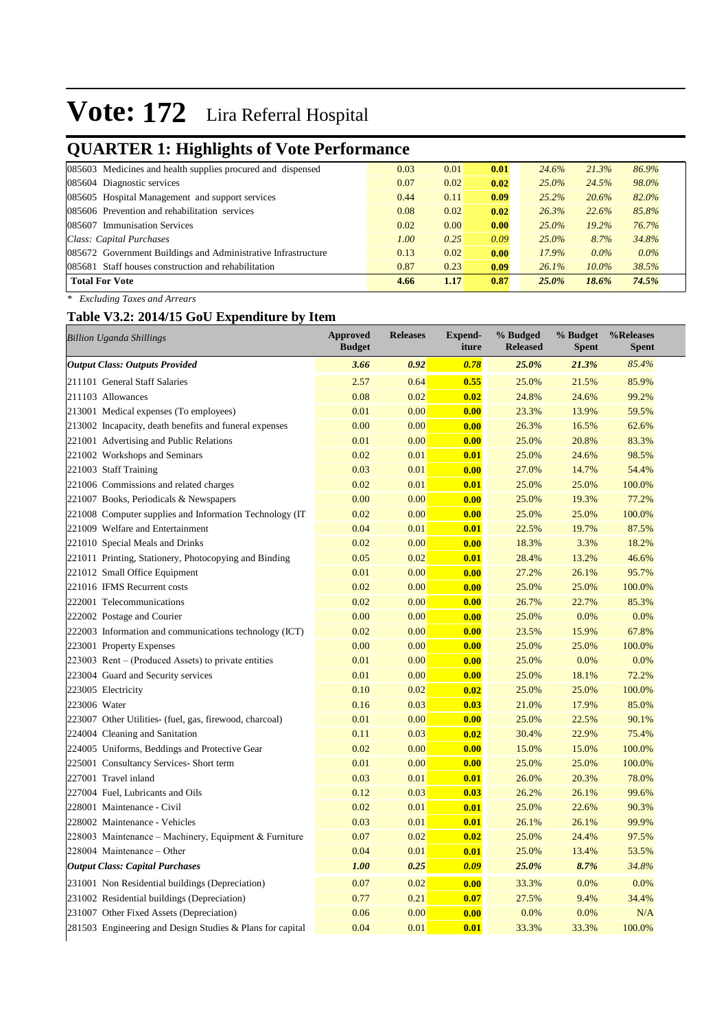## **QUARTER 1: Highlights of Vote Performance**

| ີ<br>ີ                                                        |      |      |      |          |          |         |
|---------------------------------------------------------------|------|------|------|----------|----------|---------|
| 085603 Medicines and health supplies procured and dispensed   | 0.03 | 0.01 | 0.01 | 24.6%    | 21.3%    | 86.9%   |
| 085604 Diagnostic services                                    | 0.07 | 0.02 | 0.02 | $25.0\%$ | 24.5%    | 98.0%   |
| 085605 Hospital Management and support services               | 0.44 | 0.11 | 0.09 | 25.2%    | 20.6%    | 82.0%   |
| 085606 Prevention and rehabilitation services                 | 0.08 | 0.02 | 0.02 | 26.3%    | 22.6%    | 85.8%   |
| 085607 Immunisation Services                                  | 0.02 | 0.00 | 0.00 | $25.0\%$ | 19.2%    | 76.7%   |
| Class: Capital Purchases                                      | 1.00 | 0.25 | 0.09 | $25.0\%$ | 8.7%     | 34.8%   |
| 085672 Government Buildings and Administrative Infrastructure | 0.13 | 0.02 | 0.00 | 17.9%    | $0.0\%$  | $0.0\%$ |
| 085681 Staff houses construction and rehabilitation           | 0.87 | 0.23 | 0.09 | 26.1%    | $10.0\%$ | 38.5%   |
| <b>Total For Vote</b>                                         | 4.66 | 1.17 | 0.87 | $25.0\%$ | 18.6%    | 74.5%   |
|                                                               |      |      |      |          |          |         |

*\* Excluding Taxes and Arrears*

## **Table V3.2: 2014/15 GoU Expenditure by Item**

| <b>Billion Uganda Shillings</b>                           | <b>Approved</b><br><b>Budget</b> | <b>Releases</b> | <b>Expend-</b><br>iture | % Budged<br><b>Released</b> | % Budget<br><b>Spent</b> | %Releases<br><b>Spent</b> |
|-----------------------------------------------------------|----------------------------------|-----------------|-------------------------|-----------------------------|--------------------------|---------------------------|
| <b>Output Class: Outputs Provided</b>                     | 3.66                             | 0.92            | 0.78                    | 25.0%                       | 21.3%                    | 85.4%                     |
| 211101 General Staff Salaries                             | 2.57                             | 0.64            | 0.55                    | 25.0%                       | 21.5%                    | 85.9%                     |
| 211103 Allowances                                         | 0.08                             | 0.02            | 0.02                    | 24.8%                       | 24.6%                    | 99.2%                     |
| 213001 Medical expenses (To employees)                    | 0.01                             | 0.00            | 0.00                    | 23.3%                       | 13.9%                    | 59.5%                     |
| 213002 Incapacity, death benefits and funeral expenses    | 0.00                             | 0.00            | 0.00                    | 26.3%                       | 16.5%                    | 62.6%                     |
| 221001 Advertising and Public Relations                   | 0.01                             | 0.00            | 0.00                    | 25.0%                       | 20.8%                    | 83.3%                     |
| 221002 Workshops and Seminars                             | 0.02                             | 0.01            | 0.01                    | 25.0%                       | 24.6%                    | 98.5%                     |
| 221003 Staff Training                                     | 0.03                             | 0.01            | 0.00                    | 27.0%                       | 14.7%                    | 54.4%                     |
| 221006 Commissions and related charges                    | 0.02                             | 0.01            | 0.01                    | 25.0%                       | 25.0%                    | 100.0%                    |
| 221007 Books, Periodicals & Newspapers                    | 0.00                             | 0.00            | 0.00                    | 25.0%                       | 19.3%                    | 77.2%                     |
| 221008 Computer supplies and Information Technology (IT)  | 0.02                             | 0.00            | 0.00                    | 25.0%                       | 25.0%                    | 100.0%                    |
| 221009 Welfare and Entertainment                          | 0.04                             | 0.01            | 0.01                    | 22.5%                       | 19.7%                    | 87.5%                     |
| 221010 Special Meals and Drinks                           | 0.02                             | 0.00            | 0.00                    | 18.3%                       | 3.3%                     | 18.2%                     |
| 221011 Printing, Stationery, Photocopying and Binding     | 0.05                             | 0.02            | 0.01                    | 28.4%                       | 13.2%                    | 46.6%                     |
| 221012 Small Office Equipment                             | 0.01                             | 0.00            | 0.00                    | 27.2%                       | 26.1%                    | 95.7%                     |
| 221016 IFMS Recurrent costs                               | 0.02                             | 0.00            | 0.00                    | 25.0%                       | 25.0%                    | 100.0%                    |
| 222001 Telecommunications                                 | 0.02                             | 0.00            | 0.00                    | 26.7%                       | 22.7%                    | 85.3%                     |
| 222002 Postage and Courier                                | 0.00                             | 0.00            | 0.00                    | 25.0%                       | 0.0%                     | 0.0%                      |
| 222003 Information and communications technology (ICT)    | 0.02                             | 0.00            | 0.00                    | 23.5%                       | 15.9%                    | 67.8%                     |
| 223001 Property Expenses                                  | 0.00                             | 0.00            | 0.00                    | 25.0%                       | 25.0%                    | 100.0%                    |
| 223003 Rent – (Produced Assets) to private entities       | 0.01                             | 0.00            | 0.00                    | 25.0%                       | 0.0%                     | 0.0%                      |
| 223004 Guard and Security services                        | 0.01                             | 0.00            | 0.00                    | 25.0%                       | 18.1%                    | 72.2%                     |
| 223005 Electricity                                        | 0.10                             | 0.02            | 0.02                    | 25.0%                       | 25.0%                    | 100.0%                    |
| 223006 Water                                              | 0.16                             | 0.03            | 0.03                    | 21.0%                       | 17.9%                    | 85.0%                     |
| 223007 Other Utilities- (fuel, gas, firewood, charcoal)   | 0.01                             | 0.00            | 0.00                    | 25.0%                       | 22.5%                    | 90.1%                     |
| 224004 Cleaning and Sanitation                            | 0.11                             | 0.03            | 0.02                    | 30.4%                       | 22.9%                    | 75.4%                     |
| 224005 Uniforms, Beddings and Protective Gear             | 0.02                             | 0.00            | 0.00                    | 15.0%                       | 15.0%                    | 100.0%                    |
| 225001 Consultancy Services- Short term                   | 0.01                             | 0.00            | 0.00                    | 25.0%                       | 25.0%                    | 100.0%                    |
| 227001 Travel inland                                      | 0.03                             | 0.01            | 0.01                    | 26.0%                       | 20.3%                    | 78.0%                     |
| 227004 Fuel, Lubricants and Oils                          | 0.12                             | 0.03            | 0.03                    | 26.2%                       | 26.1%                    | 99.6%                     |
| 228001 Maintenance - Civil                                | 0.02                             | 0.01            | 0.01                    | 25.0%                       | 22.6%                    | 90.3%                     |
| 228002 Maintenance - Vehicles                             | 0.03                             | 0.01            | 0.01                    | 26.1%                       | 26.1%                    | 99.9%                     |
| 228003 Maintenance – Machinery, Equipment & Furniture     | 0.07                             | 0.02            | 0.02                    | 25.0%                       | 24.4%                    | 97.5%                     |
| 228004 Maintenance - Other                                | 0.04                             | 0.01            | 0.01                    | 25.0%                       | 13.4%                    | 53.5%                     |
| <b>Output Class: Capital Purchases</b>                    | 1.00                             | 0.25            | 0.09                    | 25.0%                       | 8.7%                     | 34.8%                     |
| 231001 Non Residential buildings (Depreciation)           | 0.07                             | 0.02            | 0.00                    | 33.3%                       | 0.0%                     | 0.0%                      |
| 231002 Residential buildings (Depreciation)               | 0.77                             | 0.21            | 0.07                    | 27.5%                       | 9.4%                     | 34.4%                     |
| 231007 Other Fixed Assets (Depreciation)                  | 0.06                             | 0.00            | 0.00                    | 0.0%                        | 0.0%                     | N/A                       |
| 281503 Engineering and Design Studies & Plans for capital | 0.04                             | 0.01            | 0.01                    | 33.3%                       | 33.3%                    | 100.0%                    |